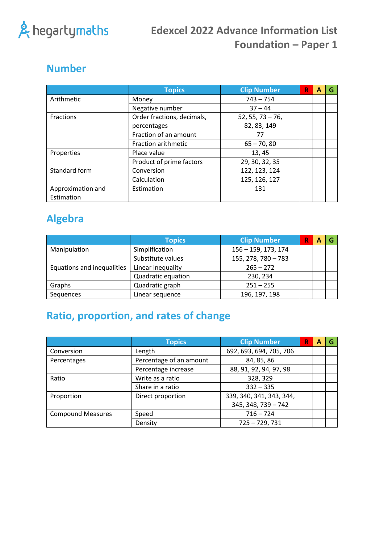

### **Number**

|                   | <b>Topics</b>              | <b>Clip Number</b> | R | A | G |
|-------------------|----------------------------|--------------------|---|---|---|
| Arithmetic        | Money                      | $743 - 754$        |   |   |   |
|                   | Negative number            | $37 - 44$          |   |   |   |
| <b>Fractions</b>  | Order fractions, decimals, | $52, 55, 73 - 76,$ |   |   |   |
|                   | percentages                | 82, 83, 149        |   |   |   |
|                   | Fraction of an amount      | 77                 |   |   |   |
|                   | Fraction arithmetic        | $65 - 70, 80$      |   |   |   |
| Properties        | Place value                | 13, 45             |   |   |   |
|                   | Product of prime factors   | 29, 30, 32, 35     |   |   |   |
| Standard form     | Conversion                 | 122, 123, 124      |   |   |   |
|                   | Calculation                | 125, 126, 127      |   |   |   |
| Approximation and | Estimation                 | 131                |   |   |   |
| Estimation        |                            |                    |   |   |   |

## **Algebra**

|                            | <b>Topics</b>      | <b>Clip Number</b>    | А |  |
|----------------------------|--------------------|-----------------------|---|--|
| Manipulation               | Simplification     | 156 - 159, 173, 174   |   |  |
|                            | Substitute values  | $155, 278, 780 - 783$ |   |  |
| Equations and inequalities | Linear inequality  | $265 - 272$           |   |  |
|                            | Quadratic equation | 230, 234              |   |  |
| Graphs                     | Quadratic graph    | $251 - 255$           |   |  |
| Sequences                  | Linear sequence    | 196, 197, 198         |   |  |

# **Ratio, proportion, and rates of change**

|                          | <b>Topics</b>           | <b>Clip Number</b>       | R | А |  |
|--------------------------|-------------------------|--------------------------|---|---|--|
| Conversion               | Length                  | 692, 693, 694, 705, 706  |   |   |  |
| Percentages              | Percentage of an amount | 84, 85, 86               |   |   |  |
|                          | Percentage increase     | 88, 91, 92, 94, 97, 98   |   |   |  |
| Ratio                    | Write as a ratio        | 328, 329                 |   |   |  |
|                          | Share in a ratio        | $332 - 335$              |   |   |  |
| Proportion               | Direct proportion       | 339, 340, 341, 343, 344, |   |   |  |
|                          |                         | $345, 348, 739 - 742$    |   |   |  |
| <b>Compound Measures</b> | Speed                   | $716 - 724$              |   |   |  |
|                          | Density                 | $725 - 729, 731$         |   |   |  |